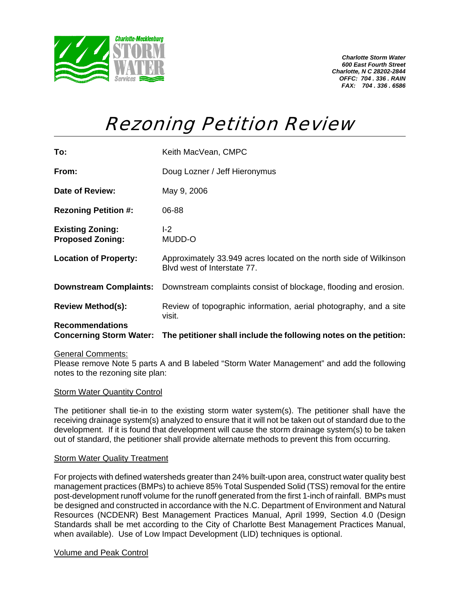

*Charlotte Storm Water 600 East Fourth Street Charlotte, N C 28202-2844 OFFC: 704 . 336 . RAIN FAX: 704 . 336 . 6586* 

# Rezoning Petition Review

| To:                                                      | Keith MacVean, CMPC                                                                              |
|----------------------------------------------------------|--------------------------------------------------------------------------------------------------|
| From:                                                    | Doug Lozner / Jeff Hieronymus                                                                    |
| Date of Review:                                          | May 9, 2006                                                                                      |
| <b>Rezoning Petition #:</b>                              | 06-88                                                                                            |
| <b>Existing Zoning:</b><br><b>Proposed Zoning:</b>       | $-2$<br>MUDD-O                                                                                   |
| <b>Location of Property:</b>                             | Approximately 33.949 acres located on the north side of Wilkinson<br>Blyd west of Interstate 77. |
| <b>Downstream Complaints:</b>                            | Downstream complaints consist of blockage, flooding and erosion.                                 |
| <b>Review Method(s):</b>                                 | Review of topographic information, aerial photography, and a site<br>visit.                      |
| <b>Recommendations</b><br><b>Concerning Storm Water:</b> | The petitioner shall include the following notes on the petition:                                |

## General Comments:

Please remove Note 5 parts A and B labeled "Storm Water Management" and add the following notes to the rezoning site plan:

#### **Storm Water Quantity Control**

The petitioner shall tie-in to the existing storm water system(s). The petitioner shall have the receiving drainage system(s) analyzed to ensure that it will not be taken out of standard due to the development. If it is found that development will cause the storm drainage system(s) to be taken out of standard, the petitioner shall provide alternate methods to prevent this from occurring.

### Storm Water Quality Treatment

For projects with defined watersheds greater than 24% built-upon area, construct water quality best management practices (BMPs) to achieve 85% Total Suspended Solid (TSS) removal for the entire post-development runoff volume for the runoff generated from the first 1-inch of rainfall. BMPs must be designed and constructed in accordance with the N.C. Department of Environment and Natural Resources (NCDENR) Best Management Practices Manual, April 1999, Section 4.0 (Design Standards shall be met according to the City of Charlotte Best Management Practices Manual, when available). Use of Low Impact Development (LID) techniques is optional.

#### Volume and Peak Control